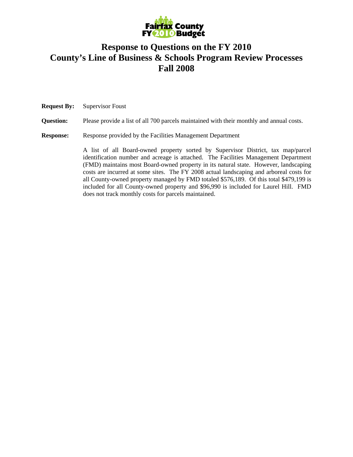

# **Response to Questions on the FY 2010 County's Line of Business & Schools Program Review Processes Fall 2008**

**Request By:** Supervisor Foust **Question:** Please provide a list of all 700 parcels maintained with their monthly and annual costs. **Response:** Response provided by the Facilities Management Department A list of all Board-owned property sorted by Supervisor District, tax map/parcel identification number and acreage is attached. The Facilities Management Department (FMD) maintains most Board-owned property in its natural state. However, landscaping costs are incurred at some sites. The FY 2008 actual landscaping and arboreal costs for all County-owned property managed by FMD totaled \$576,189. Of this total \$479,199 is included for all County-owned property and \$96,990 is included for Laurel Hill. FMD does not track monthly costs for parcels maintained.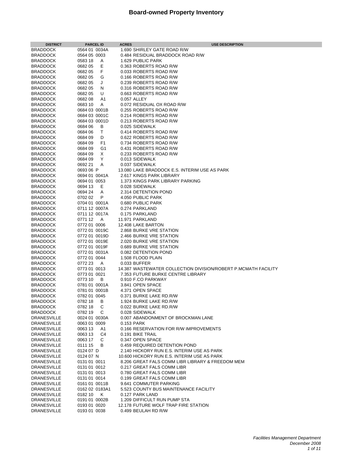| <b>DISTRICT</b>                          | <b>PARCEL ID</b>              | <b>ACRES</b> | <b>USE DESCRIPTION</b>                                                      |
|------------------------------------------|-------------------------------|--------------|-----------------------------------------------------------------------------|
| <b>BRADDOCK</b>                          | 0564 01 0034A                 |              | 1.690 SHIRLEY GATE ROAD R/W                                                 |
| <b>BRADDOCK</b>                          | 0564 05 0003                  |              | 0.484 RESIDUAL BRADDOCK ROAD R/W                                            |
| <b>BRADDOCK</b>                          | 0583 18<br>A                  |              | 1.629 PUBLIC PARK                                                           |
| <b>BRADDOCK</b>                          | Ε<br>0682 05                  |              | 0.363 ROBERTS ROAD R/W                                                      |
| <b>BRADDOCK</b>                          | F<br>0682 05                  |              | 0.033 ROBERTS ROAD R/W                                                      |
| <b>BRADDOCK</b>                          | G<br>0682 05                  |              | 0.166 ROBERTS ROAD R/W                                                      |
| <b>BRADDOCK</b>                          | 0682 05<br>J                  |              | 0.239 ROBERTS ROAD R/W                                                      |
| <b>BRADDOCK</b>                          | 0682 05<br>N                  |              | 0.316 ROBERTS ROAD R/W                                                      |
| <b>BRADDOCK</b>                          | 0682 05<br>U                  |              | 0.663 ROBERTS ROAD R/W                                                      |
| <b>BRADDOCK</b>                          | 068208<br>A1                  |              | 0.057 ALLEY                                                                 |
| <b>BRADDOCK</b>                          | 0683 10<br>Α<br>0684 03 0001B |              | 0.072 RESIDUAL OX ROAD R/W                                                  |
| <b>BRADDOCK</b><br><b>BRADDOCK</b>       | 0684 03 0001C                 |              | 0.255 ROBERTS ROAD R/W<br>0.214 ROBERTS ROAD R/W                            |
| <b>BRADDOCK</b>                          | 0684 03 0001D                 |              | 0.213 ROBERTS ROAD R/W                                                      |
| <b>BRADDOCK</b>                          | 0684 06<br>В                  |              | 0.025 SIDEWALK                                                              |
| <b>BRADDOCK</b>                          | 0684 06<br>Τ                  |              | 0.414 ROBERTS ROAD R/W                                                      |
| <b>BRADDOCK</b>                          | 0684 09<br>D                  |              | 0.622 ROBERTS ROAD R/W                                                      |
| <b>BRADDOCK</b>                          | F1<br>0684 09                 |              | 0.734 ROBERTS ROAD R/W                                                      |
| <b>BRADDOCK</b>                          | 0684 09<br>G1                 |              | 0.431 ROBERTS ROAD R/W                                                      |
| <b>BRADDOCK</b>                          | 0684 09<br>Χ                  |              | 0.233 ROBERTS ROAD R/W                                                      |
| <b>BRADDOCK</b>                          | Υ<br>0684 09                  |              | 0.013 SIDEWALK                                                              |
| <b>BRADDOCK</b>                          | 0692 21<br>Α                  |              | 0.037 SIDEWALK                                                              |
| <b>BRADDOCK</b>                          | 0693 06 P                     |              | 13.080 LAKE BRADDOCK E.S. INTERIM USE AS PARK                               |
| <b>BRADDOCK</b>                          | 0694 01 0041A                 |              | 2.617 KINGS PARK LIBRARY                                                    |
| <b>BRADDOCK</b>                          | 0694 01 0053                  |              | 1.373 KINGS PARK LIBRARY PARKING                                            |
| <b>BRADDOCK</b>                          | 0694 13<br>Е                  |              | 0.028 SIDEWALK                                                              |
| <b>BRADDOCK</b>                          | 0694 24<br>A<br>0702 02<br>P  |              | 2.314 DETENTION POND<br>4.050 PUBLIC PARK                                   |
| <b>BRADDOCK</b><br><b>BRADDOCK</b>       | 0704 01 0001A                 |              | 0.680 PUBLIC PARK                                                           |
| <b>BRADDOCK</b>                          | 0711 12 0007A                 |              | 0.274 PARKLAND                                                              |
| <b>BRADDOCK</b>                          | 0711 12 0017A                 |              | 0.175 PARKLAND                                                              |
| <b>BRADDOCK</b>                          | 0771 12<br>A                  |              | 11.971 PARKLAND                                                             |
| <b>BRADDOCK</b>                          | 0772 01 0006                  |              | 12.408 LAKE BARTON                                                          |
| <b>BRADDOCK</b>                          | 0772 01 0019C                 |              | 2.868 BURKE VRE STATION                                                     |
| <b>BRADDOCK</b>                          | 0772 01 0019D                 |              | 2.466 BURKE VRE STATION                                                     |
| <b>BRADDOCK</b>                          | 0772 01 0019E                 |              | 2.020 BURKE VRE STATION                                                     |
| <b>BRADDOCK</b>                          | 0772 01 0019F                 |              | 0.689 BURKE VRE STATION                                                     |
| <b>BRADDOCK</b>                          | 0772 01 0031A                 |              | 0.082 DETENTION POND                                                        |
| <b>BRADDOCK</b>                          | 0772 01 0044                  |              | 1.508 FLOOD PLAIN                                                           |
| <b>BRADDOCK</b>                          | 0772 23<br><b>A</b>           |              | 0.033 BUFFER                                                                |
| <b>BRADDOCK</b>                          | 0773 01 0013                  |              | 14.387 WASTEWATER COLLECTION DIVISION/ROBERT P.MCMATH FACILITY              |
| <b>BRADDOCK</b><br><b>BRADDOCK</b>       | 0773 01 0021<br>0773 10<br>В  |              | 7.353 FUTURE BURKE CENTRE LIBRARY<br>0.910 F.CO PARKWAY                     |
| <b>BRADDOCK</b>                          | 0781 01 0001A                 |              | 3.841 OPEN SPACE                                                            |
| <b>BRADDOCK</b>                          | 0781 01 0001B                 |              | 4.371 OPEN SPACE                                                            |
| <b>BRADDOCK</b>                          | 0782 01 0045                  |              | 0.371 BURKE LAKE RD.R/W                                                     |
| <b>BRADDOCK</b>                          | 0782 18<br>В                  |              | 1.924 BURKE LAKE RD.R/W                                                     |
| <b>BRADDOCK</b>                          | 0782 18<br>С                  |              | 0.022 BURKE LAKE RD.R/W                                                     |
| <b>BRADDOCK</b>                          | 0782 19<br>C                  |              | 0.028 SIDEWALK                                                              |
| <b>DRANESVILLE</b>                       | 0024 01 0030A                 |              | 0.007 ABANDONMENT OF BROCKMAN LANE                                          |
| <b>DRANESVILLE</b>                       | 0063 01 0009                  |              | 0.153 PARK                                                                  |
| <b>DRANESVILLE</b>                       | 0063 13<br>A1                 |              | 0.166 RESERVATION FOR R/W IMPROVEMENTS                                      |
| <b>DRANESVILLE</b>                       | 0063 13<br>C4                 |              | 0.191 BIKE TRAIL                                                            |
| <b>DRANESVILLE</b>                       | 0063 17<br>C                  |              | 0.347 OPEN SPACE                                                            |
| <b>DRANESVILLE</b><br><b>DRANESVILLE</b> | B<br>0111 15<br>0124 07 D     |              | 0.459 REQUIRED DETENTION POND<br>2.140 HICKORY RUN E.S. INTERIM USE AS PARK |
| <b>DRANESVILLE</b>                       | 0124 07 N                     |              | 10.600 HICKORY RUN E.S. INTERIM USE AS PARK                                 |
| <b>DRANESVILLE</b>                       | 0131 01 0011                  |              | 8.206 GREAT FALS COMM LIBR LIBRARY & FREEDOM MEM                            |
| <b>DRANESVILLE</b>                       | 0131 01 0012                  |              | 0.217 GREAT FALS COMM LIBR                                                  |
| <b>DRANESVILLE</b>                       | 0131 01 0013                  |              | 0.780 GREAT FALS COMM LIBR                                                  |
| <b>DRANESVILLE</b>                       | 0131 01 0014                  |              | 0.199 GREAT FALS COMM LIBR                                                  |
| <b>DRANESVILLE</b>                       | 0161 01 0011B                 |              | 9.641 COMMUTER PARKING                                                      |
| <b>DRANESVILLE</b>                       | 0162 02 0183A1                |              | 5.523 COUNTY BUS MAINTENANCE FACILITY                                       |
| <b>DRANESVILLE</b>                       | 018210<br>K                   |              | 0.127 PARK LAND                                                             |
| <b>DRANESVILLE</b>                       | 0191 01 0002B                 |              | 1.209 DIFFICULT RUN PUMP STA                                                |
| <b>DRANESVILLE</b>                       | 0193 01 0020                  |              | 12.178 FUTURE WOLF TRAP FIRE STATION                                        |
| <b>DRANESVILLE</b>                       | 0193 01 0038                  |              | 0.499 BEULAH RD R/W                                                         |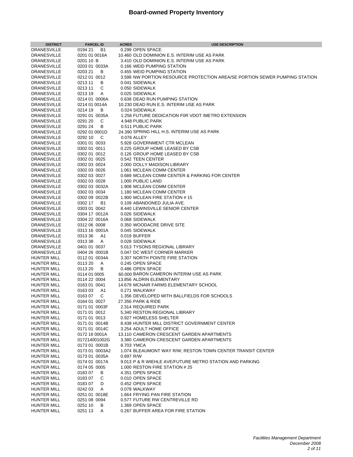| <b>DISTRICT</b>                          | <b>PARCEL ID</b>                         | <b>ACRES</b> | <b>USE DESCRIPTION</b>                                                     |
|------------------------------------------|------------------------------------------|--------------|----------------------------------------------------------------------------|
| <b>DRANESVILLE</b>                       | 0194 21<br>B1                            |              | 0.299 OPEN SPACE                                                           |
| <b>DRANESVILLE</b>                       | 0201 01 0016A                            |              | 10.460 OLD DOMINION E.S. INTERIM USE AS PARK                               |
| <b>DRANESVILLE</b>                       | 0201 10 B                                |              | 3.410 OLD DOMINION E.S. INTERIM USE AS PARK                                |
| <b>DRANESVILLE</b>                       | 0203 01 0033A                            |              | 0.166 WEID PUMPING STATION                                                 |
| <b>DRANESVILLE</b>                       | 0203 21<br>B                             |              | 0.455 WEID PUMPING STATION                                                 |
| <b>DRANESVILLE</b>                       | 0212 01 0012                             |              | 3.598 NW PORTION RESOURCE PROTECTION AREA/SE PORTION SEWER PUMPING STATION |
| <b>DRANESVILLE</b>                       | 0213 11<br>B                             |              | 0.041 SIDEWALK                                                             |
| <b>DRANESVILLE</b>                       | 0213 11<br>С                             |              | 0.050 SIDEWALK                                                             |
| <b>DRANESVILLE</b>                       | 0213 19<br>A                             |              | 0.025 SIDEWALK                                                             |
| <b>DRANESVILLE</b>                       | 0214 01 0006A                            |              | 0.638 DEAD RUN PUMPING STATION                                             |
| <b>DRANESVILLE</b>                       | 0214 01 0014A                            |              | 10.230 DEAD RUN E.S. INTERIM USE AS PARK                                   |
| <b>DRANESVILLE</b>                       | 0214 19<br>B                             |              | 0.024 SIDEWALK                                                             |
| <b>DRANESVILLE</b>                       | 0291 01 0035A                            |              | 1.256 FUTURE DEDICATION F0R VDOT /METRO EXTENSION                          |
| <b>DRANESVILLE</b>                       | C<br>0291 20                             |              | 4.948 PUBLIC PARK                                                          |
| <b>DRANESVILLE</b>                       | 0291 24<br>В                             |              | 0.511 PUBLIC PARK                                                          |
| <b>DRANESVILLE</b><br><b>DRANESVILLE</b> | 0292 01 0001D<br>0292 10<br>$\mathsf{C}$ |              | 24.390 SPRING HILL H.S. INTERIM USE AS PARK<br>0.076 ALLEY                 |
| <b>DRANESVILLE</b>                       | 0301 01 0033                             |              | 5.928 GOVERNMENT CTR MCLEAN                                                |
| <b>DRANESVILLE</b>                       | 0302 01 0011                             |              | 0.225 GROUP HOME LEASED BY CSB                                             |
| <b>DRANESVILLE</b>                       | 0302 01 0012                             |              | 0.126 GROUP HOME LEASED BY CSB                                             |
| <b>DRANESVILLE</b>                       | 0302 01 0025                             |              | 0.542 TEEN CENTER                                                          |
| <b>DRANESVILLE</b>                       | 0302 03 0024                             |              | 2.000 DOLLY MADISON LIBRARY                                                |
| <b>DRANESVILLE</b>                       | 0302 03 0026                             |              | 1.061 MCLEAN COMM CENTER                                                   |
| <b>DRANESVILLE</b>                       | 0302 03 0027                             |              | 0.689 MCLEAN COMM CENTER & PARKING FOR CENTER                              |
| <b>DRANESVILLE</b>                       | 0302 03 0028                             |              | 1.000 PUBLIC LAND                                                          |
| <b>DRANESVILLE</b>                       | 0302 03 0032A                            |              | 1.908 MCLEAN COMM CENTER                                                   |
| <b>DRANESVILLE</b>                       | 0302 03 0034                             |              | 1.180 MCLEAN COMM CENTER                                                   |
| <b>DRANESVILLE</b>                       | 0302 09 0022B                            |              | 1.900 MCLEAN FIRE STATION #15                                              |
| <b>DRANESVILLE</b>                       | 0302 17 B1                               |              | 0.109 ABANDONED JULIA AVE.                                                 |
| <b>DRANESVILLE</b>                       | 0303 01 0042                             |              | 8.440 LEWINSVILLE SENIOR CENTER                                            |
| <b>DRANESVILLE</b>                       | 0304 17 0012A                            |              | 0.026 SIDEWALK                                                             |
| <b>DRANESVILLE</b>                       | 0304 22 0016A                            |              | 0.068 SIDEWALK                                                             |
| <b>DRANESVILLE</b>                       | 0312 06 0008                             |              | 0.350 WOODACRE DRIVE SITE                                                  |
| <b>DRANESVILLE</b>                       | 0313 16 0001A                            |              | 0.045 SIDEWALK                                                             |
| <b>DRANESVILLE</b>                       | 031336<br>A1                             |              | 0.019 BUFFER                                                               |
| <b>DRANESVILLE</b>                       | 031338<br>A                              |              | 0.028 SIDEWALK                                                             |
| <b>DRANESVILLE</b>                       | 0401 01 0037                             |              | 5.013 TYSONS REGIONAL LIBRARY                                              |
| <b>DRANESVILLE</b>                       | 0404 26 0001B                            |              | 0.047 DC WEST CORNER MARKER                                                |
| <b>HUNTER MILL</b>                       | 0112 01 0034A                            |              | 3.307 NORTH POINTE FIRE STATION                                            |
| HUNTER MILL                              | A<br>0113 20                             |              | 0.245 OPEN SPACE                                                           |
| HUNTER MILL                              | 011320<br>В                              |              | 0.486 OPEN SPACE                                                           |
| HUNTER MILL                              | 0114 01 0005                             |              | 60,000 BARON CAMERON INTERIM USE AS PARK                                   |
| <b>HUNTER MILL</b>                       | 0114 22 0004                             |              | 13.856 ALDRIN ELEMENTARY                                                   |
| HUNTER MILL                              | 0163 01 0041                             |              | 14.679 MCNAIR FARMS ELEMENTARY SCHOOL                                      |
| <b>HUNTER MILL</b>                       | 016303<br>A1                             |              | 0.271 WALKWAY                                                              |
| <b>HUNTER MILL</b>                       | C<br>016307                              |              | 1.356 DEVELOPED WITH BALLFIELDS FOR SCHOOLS                                |
| <b>HUNTER MILL</b>                       | 0164 01 0027                             |              | 27.356 PARK & RIDE                                                         |
| <b>HUNTER MILL</b>                       | 0171 01 0003F<br>0171 01 0012            |              | 2.314 REQUIRED PARK<br>5.340 RESTON REGIONAL LIBRARY                       |
| HUNTER MILL<br><b>HUNTER MILL</b>        | 0171 01 0013                             |              | 0.927 HOMELESS SHELTER                                                     |
| <b>HUNTER MILL</b>                       | 0171 01 0014B                            |              | 8.438 HUNTER MILL DISTRICT GOVERNMENT CENTER                               |
| <b>HUNTER MILL</b>                       | 0171 01 0014C                            |              | 3.254 ADULT HOME OFFICE                                                    |
| HUNTER MILL                              | 0172 16 0001A                            |              | 13.110 CAMERON CRESCENT GARDEN APARTMENTS                                  |
| <b>HUNTER MILL</b>                       | 017214001002G                            |              | 3.380 CAMERON CRESCENT GARDEN APARTMENTS                                   |
| <b>HUNTER MILL</b>                       | 0173 01 0001B                            |              | 8.703 YMCA                                                                 |
| <b>HUNTER MILL</b>                       | 0173 01 0003A2                           |              | 1.074 BLEAUMONT WAY R/W; RESTON TOWN CENTER TRANSIT CENTER                 |
| HUNTER MILL                              | 0173 01 0035A                            | 0.697 R/W    |                                                                            |
| <b>HUNTER MILL</b>                       | 0174 01 0017A                            |              | 9.013 P & R WIEHLE AVE/FUTURE METRO STATION AND PARKING                    |
| HUNTER MILL                              | 0174 05 0005                             |              | 1.000 RESTON FIRE STATION #25                                              |
| HUNTER MILL                              | 018307<br>B                              |              | 4.351 OPEN SPACE                                                           |
| <b>HUNTER MILL</b>                       | 018307<br>C                              |              | 0.010 OPEN SPACE                                                           |
| HUNTER MILL                              | 018307<br>D                              |              | 0.452 OPEN SPACE                                                           |
| HUNTER MILL                              | 0242 03<br>Α                             |              | 0.079 WALKWAY                                                              |
| HUNTER MILL                              | 0251 01 0018E                            |              | 1.664 FRYING PAN FIRE STATION                                              |
| <b>HUNTER MILL</b>                       | 0251 08 0094                             |              | 0.577 FUTURE RW CENTREVILLE RD                                             |
| <b>HUNTER MILL</b>                       | 0251 10<br>В                             |              | 1.369 OPEN SPACE                                                           |
| <b>HUNTER MILL</b>                       | 0251 13<br>Α                             |              | 0.267 BUFFER AREA FOR FIRE STATION                                         |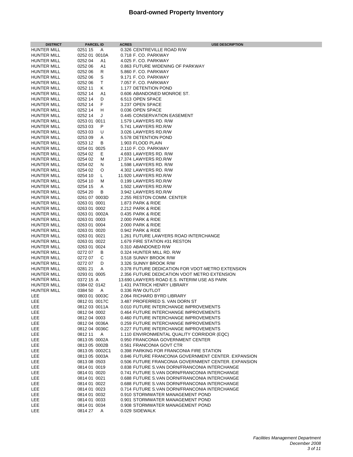| <b>DISTRICT</b>                   | <b>PARCEL ID</b>             |        | <b>ACRES</b> | <b>USE DESCRIPTION</b>                                                         |
|-----------------------------------|------------------------------|--------|--------------|--------------------------------------------------------------------------------|
| HUNTER MILL                       | 0251 15                      | A      |              | 0.326 CENTREVILLE ROAD R/W                                                     |
| HUNTER MILL                       | 0252 01 0010A                |        |              | 0.718 F. CO. PARKWAY                                                           |
| <b>HUNTER MILL</b>                | 0252 04                      | A1     |              | 4.025 F. CO. PARKWAY                                                           |
| HUNTER MILL                       | 0252 06                      | A1     |              | 0.863 FUTURE WIDENING OF PARKWAY                                               |
| HUNTER MILL                       | 0252 06                      | R      |              | 5.860 F. CO. PARKWAY                                                           |
| HUNTER MILL                       | 0252 06                      | S      |              | 9.171 F. CO. PARKWAY                                                           |
| HUNTER MILL                       | 0252 06                      | Τ      |              | 7.057 F. CO. PARKWAY                                                           |
| HUNTER MILL                       | 0252 11                      | Κ      |              | 1.177 DETENTION POND                                                           |
| HUNTER MILL                       | 0252 14                      | A1     |              | 0.606 ABANDONED MONROE ST.                                                     |
| HUNTER MILL                       | 0252 14                      | D      |              | 6.513 OPEN SPACE                                                               |
| <b>HUNTER MILL</b>                | 0252 14                      | F.     |              | 3.237 OPEN SPACE                                                               |
| HUNTER MILL                       | 0252 14                      | H      |              | 0.036 OPEN SPACE                                                               |
| HUNTER MILL                       | 0252 14                      | J      |              | 0.445 CONSERVATION EASEMENT                                                    |
| HUNTER MILL                       | 0253 01 0011                 |        |              | 1.579 LAWYERS RD. R/W                                                          |
| HUNTER MILL                       | 0253 03                      | P      |              | 5.741 LAWYERS RD.R/W                                                           |
| HUNTER MILL                       | 0253 03                      | U      |              | 3.026 LAWYERS RD.R/W                                                           |
| HUNTER MILL                       | 0253 09                      | A      |              | 5.578 DETENTION POND                                                           |
| HUNTER MILL                       | 0253 12                      | В      |              | 1.903 FLOOD PLAIN                                                              |
| HUNTER MILL                       | 0254 01 0025                 |        |              | 2.110 F. CO. PARKWAY                                                           |
| <b>HUNTER MILL</b>                | 0254 02                      | Е      |              | 4.693 LAWYERS RD, R/W                                                          |
| HUNTER MILL                       | 0254 02                      | м      |              | 17.374 LAWYERS RD.R/W                                                          |
| HUNTER MILL<br><b>HUNTER MILL</b> | 0254 02<br>0254 02           | N<br>O |              | 1.598 LAWYERS RD. R/W                                                          |
| <b>HUNTER MILL</b>                | 0254 10                      | L.     |              | 4.302 LAWYERS RD. R/W<br>11.920 LAWYERS RD.R/W                                 |
| <b>HUNTER MILL</b>                | 0254 10                      | М      |              | 0.199 LAWYERS RD.R/W                                                           |
| <b>HUNTER MILL</b>                | 0254 15                      | Α      |              | 1.502 LAWYERS RD.R/W                                                           |
| HUNTER MILL                       | 0254 20                      | В      |              | 3.942 LAWYERS RD.R/W                                                           |
| HUNTER MILL                       | 0261 07 0003D                |        |              | 2.255 RESTON COMM. CENTER                                                      |
| <b>HUNTER MILL</b>                | 0263 01 0001                 |        |              | <b>1.873 PARK &amp; RIDE</b>                                                   |
| HUNTER MILL                       | 0263 01 0002                 |        |              | 2.212 PARK & RIDE                                                              |
| HUNTER MILL                       | 0263 01 0002A                |        |              | 0.435 PARK & RIDE                                                              |
| HUNTER MILL                       | 0263 01 0003                 |        |              | 2.000 PARK & RIDE                                                              |
| HUNTER MILL                       | 0263 01 0004                 |        |              | 2.000 PARK & RIDE                                                              |
| HUNTER MILL                       | 0263 01 0020                 |        |              | 0.942 PARK & RIDE                                                              |
| HUNTER MILL                       | 0263 01 0021                 |        |              | 1.261 FUTURE LAWYERS ROAD INTERCHANGE                                          |
| HUNTER MILL                       | 0263 01 0022                 |        |              | 1.679 FIRE STATION #31 RESTON                                                  |
| HUNTER MILL                       | 0263 01 0024                 |        |              | 0.310 ABANDONED R/W                                                            |
| HUNTER MILL                       | 027207                       | В      |              | 0.324 HUNTER MILL RD. R/W                                                      |
| HUNTER MILL                       | 0272 07                      | С      |              | 3.518 SUNNY BROOK R/W                                                          |
| HUNTER MILL                       | 0272 07                      | D      |              | 3.326 SUNNY BROOK R/W                                                          |
| HUNTER MILL                       | 0281 21                      | Α      |              | 0.378 FUTURE DEDICATION FOR VDOT-METRO EXTENSION                               |
| HUNTER MILL                       | 0293 01 0005                 |        |              | 2.356 FUTURE DEDICATION VDOT METRO EXTENSION                                   |
| HUNTER MILL                       | 0372 15 A                    |        |              | 13.690 LAWYERS ROAD E.S. INTERIM USE AS PARK                                   |
| <b>HUNTER MILL</b>                | 0384 02 0142                 |        |              | 1.431 PATRICK HENRY LIBRARY                                                    |
| <b>HUNTER MILL</b>                | 0384 50                      | A      |              | 0.336 R/W OUTLOT                                                               |
| LEE                               | 0803 01 0003C                |        |              | 2.064 RICHARD BYRD LIBRARY                                                     |
| LEE                               | 0812 01 0017C                |        |              | 3.487 PROFERRED S. VAN DORN ST                                                 |
| LEE                               | 0812 03 0011A                |        |              | 0.010 FUTURE INTERCHANGE IMPROVEMENTS<br>0.464 FUTURE INTERCHANGE IMPROVEMENTS |
| LEE<br>LEE                        | 0812 04 0002<br>0812 04 0003 |        |              | 0.460 FUTURE INTERCHANGE IMPROVEMENTS                                          |
| LEE                               | 0812 04 0036A                |        |              | 0.259 FUTURE INTERCHANGE IMPROVEMENTS                                          |
| LEE                               | 0812 04 0036C                |        |              | 0.227 FUTURE INTERCHANGE IMPROVEMENTS                                          |
| LEE                               | 0812 11                      | Α      |              | 1.110 ENVIRONMENTAL QUALITY CORRIDOR (EQC)                                     |
| LEE                               | 0813 05 0002A                |        |              | 0.950 FRANCONIA GOVERNMENT CENTER                                              |
| LEE                               | 0813 05 0002B                |        |              | 0.561 FRANCONIA GOVT CTR                                                       |
| LEE                               | 0813 05 0002C1               |        |              | 0.398 PARKING FOR FRANCONIA FIRE STATION                                       |
| LEE                               | 0813 05 0003A                |        |              | 0.846 FUTURE FRANCONIA GOVERNMENT CENTER. EXPANSION                            |
| LEE                               | 0813 08 0503                 |        |              | 0.506 FUTURE FRANCONIA GOVERNMENT CENTER. EXPANSION                            |
| LEE                               | 0814 01 0019                 |        |              | 0.838 FUTURE S.VAN DORN/FRANCONIA INTERCHANGE                                  |
| LEE                               | 0814 01 0020                 |        |              | 0.741 FUTURE S.VAN DORN/FRANCONIA INTERCHANGE                                  |
| LEE                               | 0814 01 0021                 |        |              | 0.688 FUTURE S.VAN DORN/FRANCONIA INTERCHANGE                                  |
| LEE                               | 0814 01 0022                 |        |              | 0.688 FUTURE S.VAN DORN/FRANCONIA INTERCHANGE                                  |
| LEE                               | 0814 01 0023                 |        |              | 0.714 FUTURE S.VAN DORN/FRANCONIA INTERCHANGE                                  |
| LEE                               | 0814 01 0032                 |        |              | 0.910 STORMWATER MANAGEMENT POND                                               |
| LEE                               | 0814 01 0033                 |        |              | 0.901 STORMWATER MANAGEMENT POND                                               |
| LEE                               | 0814 01 0034                 |        |              | 0.908 STORMWATER MANAGEMENT POND                                               |
| LEE                               | 0814 27                      | A      |              | 0.029 SIDEWALK                                                                 |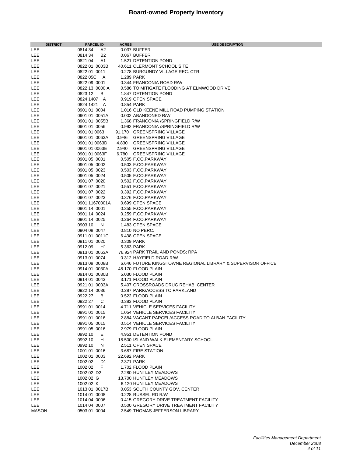| <b>DISTRICT</b> | <b>PARCEL ID</b>          | <b>ACRES</b> | <b>USE DESCRIPTION</b>                                       |
|-----------------|---------------------------|--------------|--------------------------------------------------------------|
| LEE             | 0814 34<br>A2             |              | 0.037 BUFFER                                                 |
| LEE             | 0814 34<br>B2             |              | 0.067 BUFFER                                                 |
| LEE             | A1<br>0821 04             |              | 1.521 DETENTION POND                                         |
| LEE             | 0822 01 0003B             |              | 40.611 CLERMONT SCHOOL SITE                                  |
| LEE             | 0822 01 0011              |              | 0.278 BURGUNDY VILLAGE REC. CTR.                             |
| LEE             | 0822 05C<br>A             |              | 1.289 PARK                                                   |
| LEE             | 0822 09 0001              |              | 0.344 FRANCONIA ROAD R/W                                     |
|                 |                           |              |                                                              |
| LEE             | 0822 13 0000 A            |              | 0.586 TO MITIGATE FLOODING AT ELMWOOD DRIVE                  |
| LEE             | В<br>0823 12              |              | 1.847 DETENTION POND                                         |
| LEE             | 0824 1407 A               |              | 0.919 OPEN SPACE                                             |
| LEE             | 0824 1421<br>A            |              | 0.854 PARK                                                   |
| LEE             | 0901 01 0004              |              | 1.016 OLD KEENE MILL ROAD PUMPING STATION                    |
| LEE             | 0901 01 0051A             |              | 0.002 ABANDONED R/W                                          |
| LEE             | 0901 01 0055B             |              | 1.368 FRANCONIA /SPRINGFIELD R/W                             |
| LEE             | 0901 01 0056              |              | 0.992 FRANCONIA /SPRINGFIELD R/W                             |
| LEE             | 0901 01 0063              |              | 91.170 GREENSPRING VILLAGE                                   |
| LEE             | 0901 01 0063A             | 0.946        | <b>GREENSPRING VILLAGE</b>                                   |
| LEE             | 0901 01 0063D             | 4.830        | <b>GREENSPRING VILLAGE</b>                                   |
| LEE             | 0901 01 0063E             |              | 2.940 GREENSPRING VILLAGE                                    |
| LEE             | 0901 01 0063F             |              | 6.780 GREENSPRING VILLAGE                                    |
| LEE             | 0901 05 0001              |              | 0.505 F.CO.PARKWAY                                           |
| LEE             | 0901 05 0002              |              | 0.503 F.CO.PARKWAY                                           |
| LEE             | 0901 05 0023              |              | 0.503 F.CO.PARKWAY                                           |
| LEE             | 0901 05 0024              |              | 0.505 F.CO.PARKWAY                                           |
| LEE             | 0901 07 0020              |              | 0.502 F.CO.PARKWAY                                           |
| LEE             | 0901 07 0021              |              | 0.551 F.CO.PARKWAY                                           |
| LEE             | 0901 07 0022              |              | 0.392 F.CO.PARKWAY                                           |
| LEE             | 0901 07 0023              |              |                                                              |
|                 |                           |              | 0.376 F.CO.PARKWAY                                           |
| LEE             | 0901 11670001A            |              | 0.699 OPEN SPACE                                             |
| LEE             | 0901 14 0001              |              | 0.355 F.CO.PARKWAY                                           |
| LEE             | 0901 14 0024              |              | 0.259 F.CO.PARKWAY                                           |
| LEE             | 0901 14 0025              |              | 0.264 F.CO.PARKWAY                                           |
| LEE             | 0903 10<br>N              |              | 1.483 OPEN SPACE                                             |
| LEE             | 0904 08 0047              |              | 0.810 NO PERC.                                               |
| LEE             | 0911 01 0011C             |              | 6.438 OPEN SPACE                                             |
| LEE             | 0911 01 0020              |              | 0.309 PARK                                                   |
| LEE             | 091209<br>H1              |              | 5.363 PARK                                                   |
| LEE             | 0913 01 0063A             |              | 76.924 PARK TRAIL AND PONDS; RPA                             |
| LEE             | 0913 01 0074              |              | 0.312 HAYFIELD ROAD R/W                                      |
| LEE             | 0913 09 0008B             |              | 6.646 FUTURE KINGSTOWNE REGIONAL LIBRARY & SUPERVISOR OFFICE |
| LEE             | 0914 01 0030A             |              | 48.170 FLOOD PLAIN                                           |
| LEE             | 0914 01 0030B             |              | 5.030 FLOOD PLAIN                                            |
| LEE             | 0914 01 0043              |              | 3.171 FLOOD PLAIN                                            |
| LEE             | 0921 01 0003A             |              | 5.407 CROSSROADS DRUG REHAB. CENTER                          |
| LEE             | 0922 14 0036              |              | 0.287 PARK/ACCESS TO PARKLAND                                |
| LEE             | 0922 27<br>В              |              | 0.522 FLOOD PLAIN                                            |
| LEE             | 0922 27<br>С              |              | 0.383 FLOOD PLAIN                                            |
| LEE             | 0991 01 0014              |              | 4.711 VEHICLE SERVICES FACILITY                              |
| LEE             | 0991 01 0015              |              | 1.054 VEHICLE SERVICES FACILITY                              |
| LEE             | 0991 01 0016              |              | 2.884 VACANT PARCEL/ACCESS ROAD TO ALBAN FACILITY            |
| LEE             | 0991 05 0015              |              | 0.514 VEHICLE SERVICES FACILITY                              |
| LEE             | 0991 05 0016              |              | 2.979 FLOOD PLAIN                                            |
| LEE             | 0992 10<br>Е              |              | 4.951 DETENTION POND                                         |
| LEE             | 0992 10<br>н              |              | 18.500 ISLAND WALK ELEMENTARY SCHOOL                         |
| LEE             | 0992 10<br>N              |              | 2.511 OPEN SPACE                                             |
|                 |                           |              |                                                              |
| LEE             | 1001 01 0016              |              | 3.687 FIRE STATION                                           |
| LEE             | 1002 01 0003              | 22.692 PARK  |                                                              |
| LEE             | 1002 02<br>D <sub>1</sub> |              | 2.371 PARK                                                   |
| LEE             | 1002 02<br>F              |              | 1.702 FLOOD PLAIN                                            |
| LEE             | 1002 02 D <sub>2</sub>    |              | 2.280 HUNTLEY MEADOWS                                        |
| LEE             | 1002 02 G                 |              | 13.700 HUNTLEY MEADOWS                                       |
| LEE             | 1002 02 K                 |              | 6.120 HUNTLEY MEADOWS                                        |
| LEE             | 1013 01 0017B             |              | 0.053 SOUTH COUNTY GOV. CENTER                               |
| LEE             | 1014 01 0008              |              | 0.228 RUSSEL RD R/W                                          |
| LEE             | 1014 04 0006              |              | 0.415 GREGORY DRIVE TREATMENT FACILITY                       |
| LEE             | 1014 04 0007              |              | 0.500 GREGORY DRIVE TREATMENT FACILITY                       |
| <b>MASON</b>    | 0503 01 0004              |              | 2.549 THOMAS JEFFERSON LIBRARY                               |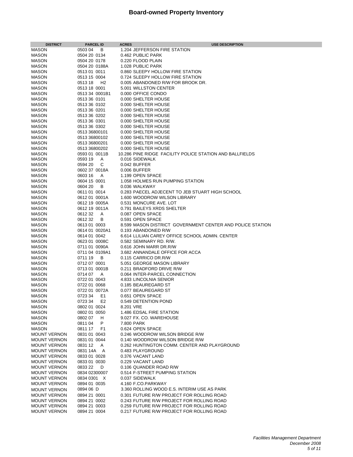| <b>DISTRICT</b>                            | <b>PARCEL ID</b>              | <b>ACRES</b><br><b>USE DESCRIPTION</b>                                          |
|--------------------------------------------|-------------------------------|---------------------------------------------------------------------------------|
| <b>MASON</b>                               | 0503 04<br>В                  | 1.204 JEFFERSON FIRE STATION                                                    |
| <b>MASON</b>                               | 0504 20 0134                  | 0.462 PUBLIC PARK                                                               |
| <b>MASON</b>                               | 0504 20 0178                  | 0.220 FLOOD PLAIN                                                               |
| <b>MASON</b>                               | 0504 20 0188A                 | 1.028 PUBLIC PARK                                                               |
| <b>MASON</b>                               | 0513 01 0011                  | 0.860 SLEEPY HOLLOW FIRE STATION                                                |
| <b>MASON</b>                               | 0513 15 0004                  | 0.724 SLEEPY HOLLOW FIRE STATION                                                |
| <b>MASON</b>                               | 0513 18<br>H <sub>2</sub>     | 0.005 ABANDONED R/W FOR BROOK DR.                                               |
| <b>MASON</b>                               | 0513 18 0001                  | 5.001 WILLSTON CENTER                                                           |
| <b>MASON</b>                               | 0513 34 0001B1                | 0.000 OFFICE CONDO                                                              |
| <b>MASON</b>                               | 0513 36 0101                  | 0.000 SHELTER HOUSE                                                             |
| <b>MASON</b>                               | 0513 36 0102                  | 0.000 SHELTER HOUSE<br>0.000 SHELTER HOUSE                                      |
| <b>MASON</b><br><b>MASON</b>               | 0513 36 0201<br>0513 36 0202  | 0.000 SHELTER HOUSE                                                             |
| <b>MASON</b>                               | 0513 36 0301                  | 0.000 SHELTER HOUSE                                                             |
| <b>MASON</b>                               | 0513 36 0302                  | 0.000 SHELTER HOUSE                                                             |
| <b>MASON</b>                               | 0513 36800101                 | 0.000 SHELTER HOUSE                                                             |
| <b>MASON</b>                               | 0513 36800102                 | 0.000 SHELTER HOUSE                                                             |
| <b>MASON</b>                               | 0513 36800201                 | 0.000 SHELTER HOUSE                                                             |
| <b>MASON</b>                               | 0513 36800202                 | 0.000 SHELTER HOUSE                                                             |
| <b>MASON</b>                               | 0593 01 0011B                 | 10.286 PINE RIDGE FACILITY POLICE STATION AND BALLFIELDS                        |
| <b>MASON</b>                               | 0593 19<br>Α                  | 0.016 SIDEWALK                                                                  |
| <b>MASON</b>                               | 0594 20<br>С                  | 0.042 BUFFER                                                                    |
| <b>MASON</b>                               | 0602 37 0018A                 | 0.006 BUFFER                                                                    |
| <b>MASON</b>                               | 0603 16<br>A                  | 1.199 OPEN SPACE                                                                |
| <b>MASON</b>                               | 0604 15 0001                  | 1.058 HOLMES RUN PUMPING STATION                                                |
| <b>MASON</b>                               | 0604 20<br>B<br>0611 01 0014  | 0.036 WALKWAY<br>0.283 PAECEL ADJECENT TO JEB STUART HIGH SCHOOL                |
| <b>MASON</b><br><b>MASON</b>               | 0612 01 0001A                 | 1.600 WOODROW WILSON LIBRARY                                                    |
| <b>MASON</b>                               | 0612 19 0005A                 | 0.531 MONCURE AVE. LOT                                                          |
| <b>MASON</b>                               | 0612 19 0011A                 | 0.791 BAILEYS XRDS SHELTER                                                      |
| <b>MASON</b>                               | 061232<br>Α                   | 0.087 OPEN SPACE                                                                |
| <b>MASON</b>                               | 061232<br>В                   | 0.591 OPEN SPACE                                                                |
| <b>MASON</b>                               | 0613 01 0003                  | 8.599 MASON DISTRICT GOVERNMENT CENTER AND POLICE STATION                       |
| <b>MASON</b>                               | 0614 01 0020A1                | 0.193 ABANDONED R/W                                                             |
| <b>MASON</b>                               | 0614 01 0042                  | 6.614 LLILIAN CAREY OFFICE SCHOOL ADMIN. CENTER                                 |
| <b>MASON</b>                               | 0623 01 0008C                 | 0.582 SEMINARY RD. R/W.                                                         |
| <b>MASON</b>                               | 0711 01 0090A                 | 0.616 JOHN MARR DR.R/W                                                          |
| <b>MASON</b>                               | 0711 04 0109A1                | 3.682 ANNANDALE OFFICE FOR ACCA                                                 |
| <b>MASON</b>                               | 0711 19<br>B                  | 0.115 CARRICO DR.R/W                                                            |
| <b>MASON</b><br><b>MASON</b>               | 0712 07 0001<br>0713 01 0001B | 5.051 GEORGE MASON LIBRARY<br>0.211 BRADFORD DRIVE R/W                          |
| <b>MASON</b>                               | 0714 07<br>A                  | 0.064 INTER-PARCEL CONNECTION                                                   |
| <b>MASON</b>                               | 0722 01 0043                  | 4.833 LINCOLNIA SENIOR                                                          |
| <b>MASON</b>                               | 0722 01 0068                  | 0.185 BEAUREGARD ST                                                             |
| <b>MASON</b>                               | 0722 01 0072A                 | 0.077 BEAUREGARD ST                                                             |
| <b>MASON</b>                               | E <sub>1</sub><br>0723 34     | 0.651 OPEN SPACE                                                                |
| <b>MASON</b>                               | 0723 34<br>E <sub>2</sub>     | 0.549 DETENTION POND                                                            |
| <b>MASON</b>                               | 0802 01 0024                  | 8.201 VRE                                                                       |
| <b>MASON</b>                               | 0802 01 0050                  | 1.486 EDSAL FIRE STATION                                                        |
| <b>MASON</b>                               | 0802 07<br>H                  | 9.027 FX. CO. WAREHOUSE                                                         |
| <b>MASON</b>                               | P<br>081104                   | 7.800 PARK                                                                      |
| <b>MASON</b>                               | 0811 17<br>F1                 | 0.624 OPEN SPACE                                                                |
| <b>MOUNT VERNON</b>                        | 0831 01 0043                  | 0.246 WOODROW WILSON BRIDGE R/W                                                 |
| <b>MOUNT VERNON</b><br><b>MOUNT VERNON</b> | 0831 01 0044<br>0831 12<br>A  | 0.140 WOODROW WILSON BRIDGE R/W<br>0.262 HUNTINGTON COMM. CENTER AND PLAYGROUND |
| <b>MOUNT VERNON</b>                        | 0831 14A<br>A                 | 0.483 PLAYGROUND                                                                |
| <b>MOUNT VERNON</b>                        | 0833 01 0028                  | 0.376 VACANT LAND                                                               |
| <b>MOUNT VERNON</b>                        | 0833 01 0030                  | 0.229 VACANT LAND                                                               |
| <b>MOUNT VERNON</b>                        | 0833 22<br>D                  | 0.106 QUANDER ROAD R/W                                                          |
| <b>MOUNT VERNON</b>                        | 0834 02300007                 | 0.514 F-STREET PUMPING STATION                                                  |
| <b>MOUNT VERNON</b>                        | 0834 0301 X                   | 0.037 SIDEWALK                                                                  |
| <b>MOUNT VERNON</b>                        | 0894 01 0035                  | 4.160 F.CO.PARKWAY                                                              |
| <b>MOUNT VERNON</b>                        | 0894 06 D                     | 3.360 ROLLING WOOD E.S. INTERIM USE AS PARK                                     |
| <b>MOUNT VERNON</b>                        | 0894 21 0001                  | 0.301 FUTURE R/W PROJECT FOR ROLLING ROAD                                       |
| <b>MOUNT VERNON</b>                        | 0894 21 0002                  | 0.243 FUTURE R/W PROJECT FOR ROLLING ROAD                                       |
| <b>MOUNT VERNON</b>                        | 0894 21 0003                  | 0.259 FUTURE R/W PROJECT FOR ROLLING ROAD                                       |
| <b>MOUNT VERNON</b>                        | 0894 21 0004                  | 0.217 FUTURE R/W PROJECT FOR ROLLING ROAD                                       |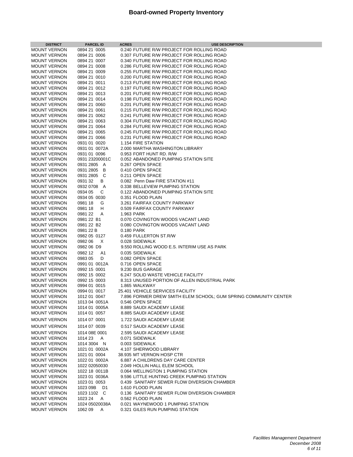| <b>DISTRICT</b>                            | <b>PARCEL ID</b>               | <b>ACRES</b> | <b>USE DESCRIPTION</b>                                               |
|--------------------------------------------|--------------------------------|--------------|----------------------------------------------------------------------|
| <b>MOUNT VERNON</b>                        | 0894 21 0005                   |              | 0.240 FUTURE R/W PROJECT FOR ROLLING ROAD                            |
| <b>MOUNT VERNON</b>                        | 0894 21 0006                   |              | 0.307 FUTURE R/W PROJECT FOR ROLLING ROAD                            |
| <b>MOUNT VERNON</b>                        | 0894 21 0007                   |              | 0.340 FUTURE R/W PROJECT FOR ROLLING ROAD                            |
| <b>MOUNT VERNON</b>                        | 0894 21 0008                   |              | 0.286 FUTURE R/W PROJECT FOR ROLLING ROAD                            |
| <b>MOUNT VERNON</b>                        | 0894 21 0009                   |              | 0.255 FUTURE R/W PROJECT FOR ROLLING ROAD                            |
| <b>MOUNT VERNON</b>                        | 0894 21 0010                   |              | 0.200 FUTURE R/W PROJECT FOR ROLLING ROAD                            |
| <b>MOUNT VERNON</b>                        | 0894 21 0011                   |              | 0.213 FUTURE R/W PROJECT FOR ROLLING ROAD                            |
| <b>MOUNT VERNON</b>                        | 0894 21 0012                   |              | 0.197 FUTURE R/W PROJECT FOR ROLLING ROAD                            |
| <b>MOUNT VERNON</b>                        | 0894 21 0013                   |              | 0.201 FUTURE R/W PROJECT FOR ROLLING ROAD                            |
| <b>MOUNT VERNON</b>                        | 0894 21 0014                   |              | 0.198 FUTURE R/W PROJECT FOR ROLLING ROAD                            |
| <b>MOUNT VERNON</b>                        | 0894 21 0060                   |              | 0.201 FUTURE R/W PROJECT FOR ROLLING ROAD                            |
| <b>MOUNT VERNON</b>                        | 0894 21 0061                   |              | 0.215 FUTURE R/W PROJECT FOR ROLLING ROAD                            |
| <b>MOUNT VERNON</b>                        | 0894 21 0062                   |              | 0.241 FUTURE R/W PROJECT FOR ROLLING ROAD                            |
| <b>MOUNT VERNON</b>                        | 0894 21 0063                   |              | 0.304 FUTURE R/W PROJECT FOR ROLLING ROAD                            |
| <b>MOUNT VERNON</b>                        | 0894 21 0064                   |              | 0.284 FUTURE R/W PROJECT FOR ROLLING ROAD                            |
| <b>MOUNT VERNON</b>                        | 0894 21 0065                   |              | 0.245 FUTURE R/W PROJECT FOR ROLLING ROAD                            |
| <b>MOUNT VERNON</b>                        | 0894 21 0066                   |              | 0.231 FUTURE R/W PROJECT FOR ROLLING ROAD                            |
| <b>MOUNT VERNON</b>                        | 0931 01 0020                   |              | 1.154 FIRE STATION                                                   |
| <b>MOUNT VERNON</b>                        | 0931 01 0072A                  |              | 2.000 MARTHA WASHINGTON LIBRARY                                      |
| <b>MOUNT VERNON</b>                        | 0931 01 0096                   |              | 0.953 FORT HUNT RD. R/W                                              |
| <b>MOUNT VERNON</b>                        | 0931 23200001C                 |              | 0.052 ABANDONED PUMPING STATION SITE                                 |
| <b>MOUNT VERNON</b>                        | 0931 2805 A                    |              | 0.267 OPEN SPACE                                                     |
| <b>MOUNT VERNON</b><br><b>MOUNT VERNON</b> | 0931 2805 B                    |              | 0.410 OPEN SPACE                                                     |
| <b>MOUNT VERNON</b>                        | 0931 2805 C<br>093132<br>B     |              | 0.211 OPEN SPACE<br>0.082 Penn Daw FIRE STATION #11                  |
| <b>MOUNT VERNON</b>                        | 0932 0708 A                    |              | 0.338 BELLEVIEW PUMPING STATION                                      |
| <b>MOUNT VERNON</b>                        | 0934 05<br>C                   |              | 0.122 ABANDONED PUMPING STATION SITE                                 |
| <b>MOUNT VERNON</b>                        | 0934 05 0030                   |              | 0.351 FLOOD PLAIN                                                    |
| <b>MOUNT VERNON</b>                        | 0981 18<br>G                   |              | 3.261 FAIRFAX COUNTY PARKWAY                                         |
| <b>MOUNT VERNON</b>                        | 0981 18<br>Н                   |              | 0.509 FAIRFAX COUNTY PARKWAY                                         |
| <b>MOUNT VERNON</b>                        | 0981 22<br>A                   |              | 1.963 PARK                                                           |
| <b>MOUNT VERNON</b>                        | 0981 22 B1                     |              | 0.070 COVINGTON WOODS VACANT LAND                                    |
| <b>MOUNT VERNON</b>                        | 0981 22 B2                     |              | 0.080 COVINGTON WOODS VACANT LAND                                    |
| <b>MOUNT VERNON</b>                        | 0981 22 B                      |              | 0.180 PARK                                                           |
| <b>MOUNT VERNON</b>                        | 0982 05 0127                   |              | 0.459 FULLERTON ST.R/W                                               |
| <b>MOUNT VERNON</b>                        | 0982 06<br>X                   |              | 0.028 SIDEWALK                                                       |
| <b>MOUNT VERNON</b>                        | 0982 06 D9                     |              | 9.550 ROLLING WOOD E.S. INTERIM USE AS PARK                          |
| <b>MOUNT VERNON</b>                        | 0982 12<br>A1                  |              | 0.035 SIDEWALK                                                       |
| <b>MOUNT VERNON</b>                        | 0983 05<br>D                   |              | 0.082 OPEN SPACE                                                     |
| <b>MOUNT VERNON</b>                        | 0991 01 0012A                  |              | 0.716 OPEN SPACE                                                     |
| <b>MOUNT VERNON</b>                        | 0992 15 0001                   |              | 9.230 BUS GARAGE                                                     |
| <b>MOUNT VERNON</b>                        | 0992 15 0002                   |              | 6.247 SOLID WASTE VEHICLE FACILITY                                   |
| <b>MOUNT VERNON</b>                        | 0992 15 0003                   |              | 8.313 UNUSED PORTION OF ALLEN INDUSTRIAL PARK                        |
| <b>MOUNT VERNON</b>                        | 0994 01 0015                   |              | 1.865 WALKWAY                                                        |
| <b>MOUNT VERNON</b>                        | 0994 01 0017                   |              | 25.401 VEHICLE SERVICES FACILITY                                     |
| <b>MOUNT VERNON</b>                        | 1012 01 0047                   |              | 7.896 FORMER DREW SMITH ELEM SCHOOL; GUM SPRING COMMUNITY CENTER     |
| <b>MOUNT VERNON</b>                        | 1013 04 0051A                  |              | 0.546 OPEN SPACE                                                     |
| <b>MOUNT VERNON</b>                        | 1014 01 0005A                  |              | 8.889 SAUDI ACADEMY LEASE                                            |
| <b>MOUNT VERNON</b>                        | 1014 01 0057                   |              | 8.885 SAUDI ACADEMY LEASE                                            |
| <b>MOUNT VERNON</b>                        | 1014 07 0001                   |              | 1.722 SAUDI ACADEMY LEASE                                            |
| <b>MOUNT VERNON</b>                        | 1014 07 0039                   |              | 0.517 SAUDI ACADEMY LEASE                                            |
| <b>MOUNT VERNON</b>                        | 1014 08E 0001                  |              | 2.595 SAUDI ACADEMY LEASE                                            |
| <b>MOUNT VERNON</b>                        | 1014 23<br>A                   |              | 0.071 SIDEWALK                                                       |
| <b>MOUNT VERNON</b>                        | 1014 3004 N                    |              | 0.003 SIDEWALK                                                       |
| <b>MOUNT VERNON</b>                        | 1021 01 0002A                  |              | 4.107 SHERWOOD LIBRARY                                               |
| <b>MOUNT VERNON</b>                        | 1021 01 0004                   |              | 38.935 MT VERNON HOSP CTR                                            |
| <b>MOUNT VERNON</b>                        | 1022 01 0002A                  |              | 6.887 A CHILDRENS DAY CARE CENTER                                    |
| <b>MOUNT VERNON</b>                        | 1022 02050030                  |              | 2.049 HOLLIN HALL ELEM SCHOOL                                        |
| <b>MOUNT VERNON</b>                        | 1022 18 0011B                  |              | 0.064 WELLINGTON 1 PUMPING STATION                                   |
| <b>MOUNT VERNON</b>                        | 1023 01 0036A                  |              | 9.596 LITTLE HUNTING CREEK PUMPING STATION                           |
| <b>MOUNT VERNON</b>                        | 1023 01 0053                   |              | 0.439 SANITARY SEWER FLOW DIVERSION CHAMBER                          |
| <b>MOUNT VERNON</b>                        | 1023 09B<br>D1                 |              | 1.610 FLOOD PLAIN                                                    |
| <b>MOUNT VERNON</b>                        | 1023 1102 C                    |              | 0.136 SANITARY SEWER FLOW DIVERSION CHAMBER                          |
| <b>MOUNT VERNON</b>                        | 1023 24 A                      |              | 0.562 FLOOD PLAIN                                                    |
| <b>MOUNT VERNON</b><br><b>MOUNT VERNON</b> | 1024 05020038A<br>1062 09<br>Α |              | 0.021 WAYNEWOOD 1 PUMPING STATION<br>0.321 GILES RUN PUMPING STATION |
|                                            |                                |              |                                                                      |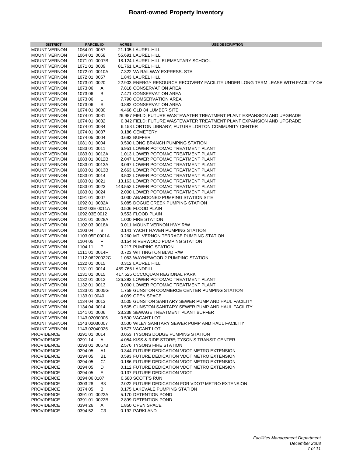| <b>DISTRICT</b>                            | <b>PARCEL ID</b>              | <b>ACRES</b> | <b>USE DESCRIPTION</b>                                                                       |
|--------------------------------------------|-------------------------------|--------------|----------------------------------------------------------------------------------------------|
| <b>MOUNT VERNON</b>                        | 1064 01 0057                  |              | 21.105 LAUREL HILL                                                                           |
| <b>MOUNT VERNON</b>                        | 1064 01 0058                  |              | 55.691 LAUREL HILL                                                                           |
| <b>MOUNT VERNON</b>                        | 1071 01 0007B                 |              | 18.124 LAUREL HILL ELEMENTARY SCHOOL                                                         |
| <b>MOUNT VERNON</b>                        | 1071 01 0009                  |              | 81.761 LAUREL HILL                                                                           |
| <b>MOUNT VERNON</b>                        | 1072 01 0010A                 |              | 7.322 VA RAILWAY EXPRESS. STA                                                                |
| <b>MOUNT VERNON</b>                        | 1072 01 0057                  |              | 1.843 LAUREL HILL                                                                            |
| <b>MOUNT VERNON</b>                        | 1073 01 0020                  |              | 22.903 ENERGY RESOURCE RECOVERY FACILITY UNDER LONG TERM LEASE WITH FACILITY OV              |
| <b>MOUNT VERNON</b>                        | 1073 06<br>A                  |              | 7.818 CONSERVATION AREA                                                                      |
| <b>MOUNT VERNON</b>                        | 1073 06<br>В                  |              | 7.471 CONSERVATION AREA                                                                      |
| <b>MOUNT VERNON</b>                        | 1073 06<br>L                  |              | 7.790 COMSERVATION AREA                                                                      |
| <b>MOUNT VERNON</b>                        | 1073 06<br>S                  |              | 0.882 CONSERVATION AREA                                                                      |
| <b>MOUNT VERNON</b>                        | 1074 01 0030                  |              | 4.468 OLD 84 LUMBER SITE                                                                     |
| <b>MOUNT VERNON</b>                        | 1074 01 0031                  |              | 26.987 FIELD; FUTURE WASTEWATER TREATMENT PLANT EXPANSION AND UPGRADE                        |
| <b>MOUNT VERNON</b>                        | 1074 01 0032                  |              | 0.842 FIELD: FUTURE WASTEWATER TREATMENT PLANT EXPANSION AND UPGRADE                         |
| <b>MOUNT VERNON</b>                        | 1074 01 0034                  |              | 6.153 LORTON LIBRARY; FUTURE LORTON COMMUNITY CENTER                                         |
| <b>MOUNT VERNON</b>                        | 1074 01 0037                  |              | 0.186 CEMETERY                                                                               |
| <b>MOUNT VERNON</b>                        | 1074 05 0004                  |              | 0.693 BUFFER                                                                                 |
| <b>MOUNT VERNON</b>                        | 1081 01 0004                  |              | 0.500 LONG BRANCH PUMPING STATION                                                            |
| <b>MOUNT VERNON</b>                        | 1083 01 0011                  |              | 6.951 LOWER POTOMAC TREATMENT PLANT                                                          |
| <b>MOUNT VERNON</b>                        | 1083 01 0012A                 |              | 1.013 LOWER POTOMAC TREATMENT PLANT<br>2.047 LOWER POTOMAC TREATMENT PLANT                   |
| <b>MOUNT VERNON</b>                        | 1083 01 0012B                 |              |                                                                                              |
| <b>MOUNT VERNON</b><br><b>MOUNT VERNON</b> | 1083 01 0013A                 |              | 3.097 LOWER POTOMAC TREATMENT PLANT<br>2.663 LOWER POTOMAC TREATMENT PLANT                   |
| <b>MOUNT VERNON</b>                        | 1083 01 0013B<br>1083 01 0014 |              | 3.502 LOWER POTOMAC TREATMENT PLANT                                                          |
| <b>MOUNT VERNON</b>                        | 1083 01 0021                  |              | 13.163 LOWER POTOMAC TREATMENT PLANT                                                         |
| <b>MOUNT VERNON</b>                        | 1083 01 0023                  |              | 143.552 LOWER POTOMAC TREATMENT PLANT                                                        |
| <b>MOUNT VERNON</b>                        | 1083 01 0024                  |              | 2.000 LOWER POTOMAC TREATMENT PLANT                                                          |
| <b>MOUNT VERNON</b>                        | 1091 01 0007                  |              | 0.030 ABANDONED PUMPING STATION SITE                                                         |
| <b>MOUNT VERNON</b>                        | 1092 01 0032A                 |              | 6.085 DOGUE CREEK PUMPING STATION                                                            |
| <b>MOUNT VERNON</b>                        | 1092 03E 0011A                |              | 0.506 FLOOD PLAIN                                                                            |
| <b>MOUNT VERNON</b>                        | 1092 03E 0012                 |              | 0.553 FLOOD PLAIN                                                                            |
| <b>MOUNT VERNON</b>                        | 1101 01 0028A                 |              | 1.000 FIRE STATION                                                                           |
| <b>MOUNT VERNON</b>                        | 1102 03 0018A                 |              | 0.011 MOUNT VERNON HWY R/W                                                                   |
| <b>MOUNT VERNON</b>                        | 1103 04<br>В                  |              | 0.141 YACHT HAVEN PUMPING STATION                                                            |
| <b>MOUNT VERNON</b>                        | 1103 05F 0001A                |              | 0.260 MT. VERNON TERRACE PUMPING STATION                                                     |
| <b>MOUNT VERNON</b>                        | 1104 05<br>F                  |              | 0.154 RIVERWOOD PUMPING STATION                                                              |
| <b>MOUNT VERNON</b>                        | 1104 11<br>P                  |              | 0.217 PUMPING STATION                                                                        |
| <b>MOUNT VERNON</b>                        | 1111 01 0014F                 |              | 0.723 WITTINGTON BLVD R/W                                                                    |
| <b>MOUNT VERNON</b>                        | 1112 06220022C                |              | 1.063 WAYNEWOOD 2 PUMPING STATION                                                            |
| <b>MOUNT VERNON</b>                        | 1122 01 0015                  |              | 0.312 LAUREL HILL                                                                            |
| <b>MOUNT VERNON</b>                        | 1131 01 0014                  |              | 489.766 LANDFILL                                                                             |
| <b>MOUNT VERNON</b>                        | 1131 01 0015                  |              | 417.525 OCCOQUAN REGIONAL PARK                                                               |
| <b>MOUNT VERNON</b>                        | 1132 01 0012                  |              | 126.293 LOWER POTOMAC TREATMENT PLANT                                                        |
| <b>MOUNT VERNON</b>                        | 1132 01 0013                  |              | 3.000 LOWER POTOMAC TREATMENT PLANT                                                          |
| <b>MOUNT VERNON</b>                        | 1133 01 0005G                 |              | 1.759 GUNSTON COMMERCE CENTER PUMPING STATION                                                |
| <b>MOUNT VERNON</b>                        | 1133 01 0040                  |              | 4.039 OPEN SPACE                                                                             |
| <b>MOUNT VERNON</b>                        | 1134 04 0013                  |              | 0.505 GUNSTON SANITARY SEWER PUMP AND HAUL FACILITY                                          |
| <b>MOUNT VERNON</b>                        | 1134 04 0014                  |              | 0.505 GUNSTON SANITARY SEWER PUMP AND HAUL FACILITY                                          |
| <b>MOUNT VERNON</b>                        | 1141 01 0006                  |              | 23.238 SEWAGE TREATMENT PLANT BUFFER                                                         |
| <b>MOUNT VERNON</b>                        | 1143 02030006                 |              | 0.500 VACANT LOT                                                                             |
| <b>MOUNT VERNON</b>                        | 1143 02030007                 |              | 0.500 WILEY SANITARY SEWER PUMP AND HAUL FACILITY                                            |
| <b>MOUNT VERNON</b>                        | 1143 02040026                 |              | 0.577 VACANT LOT                                                                             |
| <b>PROVIDENCE</b>                          | 0291 01 0014                  |              | 0.053 TYSONS DODGE PUMPING STATION                                                           |
| <b>PROVIDENCE</b>                          | 0291 14<br>A                  |              | 4.054 KISS & RIDE STORE; TYSON'S TRANSIT CENTER                                              |
| <b>PROVIDENCE</b>                          | 0293 01 0057B                 |              | 2.576 TYSONS FIRE STATION                                                                    |
| <b>PROVIDENCE</b>                          | 0294 05<br>A1                 |              | 0.344 FUTURE DEDICATION VDOT METRO EXTENSION                                                 |
| <b>PROVIDENCE</b>                          | 0294 05<br><b>B1</b>          |              | 0.593 FUTURE DEDICATION VDOT METRO EXTENSION                                                 |
| <b>PROVIDENCE</b>                          | 0294 05<br>C1<br>0294 05<br>D |              | 0.186 FUTURE DEDICATION VDOT METRO EXTENSION<br>0.112 FUTURE DEDICATION VDOT METRO EXTENSION |
| <b>PROVIDENCE</b><br><b>PROVIDENCE</b>     | 0294 05<br>E.                 |              | 0.137 FUTURE DEDICATION VDOT                                                                 |
| <b>PROVIDENCE</b>                          | 0294 06 0107                  |              | 0.680 SCOTT'S RUN                                                                            |
| <b>PROVIDENCE</b>                          | 0303 28<br>B <sub>3</sub>     |              | 2.022 FUTURE DEDICATION FOR VDOT/ METRO EXTENSION                                            |
| <b>PROVIDENCE</b>                          | 0374 05<br>В                  |              | 0.175 LAKEVALE PUMPING STATION                                                               |
| <b>PROVIDENCE</b>                          | 0391 01 0022A                 |              | 5.170 DETENTION POND                                                                         |
| <b>PROVIDENCE</b>                          | 0391 01 0022B                 |              | 2.899 DETENTION POND                                                                         |
| <b>PROVIDENCE</b>                          | 0394 26<br>A                  |              | 1.850 OPEN SPACE                                                                             |
| <b>PROVIDENCE</b>                          | 0394 52<br>C <sub>3</sub>     |              | 0.192 PARKLAND                                                                               |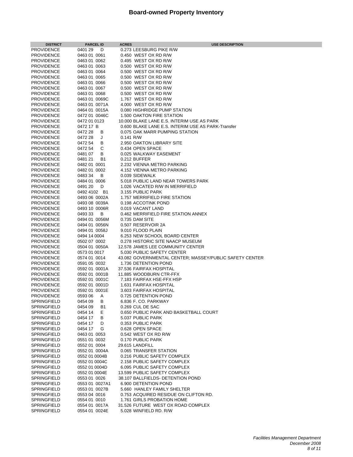| <b>DISTRICT</b>    | <b>PARCEL ID</b>    | <b>ACRES</b> | <b>USE DESCRIPTION</b>                                  |
|--------------------|---------------------|--------------|---------------------------------------------------------|
| <b>PROVIDENCE</b>  | 0401 29<br>D        |              | 0.273 LEESBURG PIKE R/W                                 |
| <b>PROVIDENCE</b>  | 0463 01 0061        |              | 0.450 WEST OX RD R/W                                    |
| <b>PROVIDENCE</b>  | 0463 01 0062        |              | 0.495 WEST OX RD R/W                                    |
| <b>PROVIDENCE</b>  | 0463 01 0063        |              | 0.500 WEST OX RD R/W                                    |
| <b>PROVIDENCE</b>  | 0463 01 0064        |              | 0.500 WEST OX RD R/W                                    |
| <b>PROVIDENCE</b>  | 0463 01 0065        |              | 0.500 WEST OX RD R/W                                    |
| <b>PROVIDENCE</b>  | 0463 01 0066        |              | 0.500 WEST OX RD R/W                                    |
|                    |                     |              |                                                         |
| <b>PROVIDENCE</b>  | 0463 01 0067        |              | 0.500 WEST OX RD R/W                                    |
| <b>PROVIDENCE</b>  | 0463 01 0068        |              | 0.500 WEST OX RD R/W                                    |
| <b>PROVIDENCE</b>  | 0463 01 0069C       |              | 1.767 WEST OX RD R/W                                    |
| <b>PROVIDENCE</b>  | 0463 01 0071A       |              | 4.000 WEST OX RD R/W                                    |
| <b>PROVIDENCE</b>  | 0464 01 0015A       |              | 0.080 HIGHRIDGE PUMP STATION                            |
| <b>PROVIDENCE</b>  | 0472 01 0046C       |              | 1.500 OAKTON FIRE STATION                               |
| <b>PROVIDENCE</b>  | 0472 01 0123        |              | 10.000 BLAKE LANE E.S. INTERIM USE AS PARK              |
| <b>PROVIDENCE</b>  | 0472 17 B           |              | 0.600 BLAKE LANE E.S. INTERIM USE AS PARK-Transfer      |
| <b>PROVIDENCE</b>  | 0472 28<br>В        |              | 0.075 OAK MARR PUMPING STATION                          |
| <b>PROVIDENCE</b>  | 0472 28<br>J        | $0.141$ R/W  |                                                         |
| <b>PROVIDENCE</b>  | 0472 54<br>В        |              | 2.950 OAKTON LIBRARY SITE                               |
| <b>PROVIDENCE</b>  | 0472 54<br>С        |              | 0.434 OPEN SPACE                                        |
| <b>PROVIDENCE</b>  | 048107<br>В         |              | 0.025 WALKWAY EASEMENT                                  |
| <b>PROVIDENCE</b>  | 048121<br><b>B1</b> |              | 0.212 BUFFER                                            |
| <b>PROVIDENCE</b>  | 0482 01 0001        |              | 2.232 VIENNA METRO PARKING                              |
| <b>PROVIDENCE</b>  | 0482 01 0002        |              | 4.152 VIENNA METRO PARKING                              |
| <b>PROVIDENCE</b>  | 048334<br>B         |              | 0.039 SIDEWALK                                          |
| <b>PROVIDENCE</b>  | 0484 01 0006        |              | 5.018 PUBLIC LAND NEAR TOWERS PARK                      |
| <b>PROVIDENCE</b>  | 0491 20<br>D        |              | 1.026 VACATED R/W IN MERRIFIELD                         |
| <b>PROVIDENCE</b>  | 0492 4102 B1        |              | 3.155 PUBLIC PARK                                       |
| <b>PROVIDENCE</b>  | 0493 06 0002A       |              | 1.757 MERRIFIELD FIRE STATION                           |
| <b>PROVIDENCE</b>  | 0493 08 0039A       |              | 0.198 ACCOTINK POND                                     |
| <b>PROVIDENCE</b>  | 0493 10 0006R       |              | 0.019 VACANT LAND                                       |
| <b>PROVIDENCE</b>  | 049333<br>В         |              | 0.462 MERRIFIELD FIRE STATION ANNEX                     |
| <b>PROVIDENCE</b>  | 0494 01 0056M       |              | 0.735 DAM SITE                                          |
| <b>PROVIDENCE</b>  | 0494 01 0056N       |              | 0.507 RESERVOIR 2A                                      |
| <b>PROVIDENCE</b>  | 0494 01 0058J       |              | 9.010 FLOOD PLAIN                                       |
| <b>PROVIDENCE</b>  |                     |              | 6.253 NEW SCHOOL BOARD CENTER                           |
|                    | 0494 14 0004        |              |                                                         |
| <b>PROVIDENCE</b>  | 0502 07 0002        |              | 0.278 HISTORIC SITE NAACP MUSEUM                        |
| <b>PROVIDENCE</b>  | 0504 01 0050A       |              | 12.578 JAMES LEE COMMUNITY CENTER                       |
| <b>PROVIDENCE</b>  | 0573 01 0017        |              | 5.030 PUBLIC SAFETY CENTER                              |
| <b>PROVIDENCE</b>  | 0574 01 0014        |              | 43.082 GOVERNMENTAL CENTER; MASSEY/PUBLIC SAFETY CENTER |
| <b>PROVIDENCE</b>  | 0591 05 0032        |              | 1.736 DETENTION POND                                    |
| <b>PROVIDENCE</b>  | 0592 01 0001A       |              | 37.536 FAIRFAX HOSPITAL                                 |
| <b>PROVIDENCE</b>  | 0592 01 0001B       |              | 11.885 WOODBURN CTR-FFX                                 |
| <b>PROVIDENCE</b>  | 0592 01 0001C       |              | 7.183 FAIRFAX HSE-FFX HSP                               |
| <b>PROVIDENCE</b>  | 0592 01 0001D       |              | 1.631 FAIRFAX HOSPITAL                                  |
| <b>PROVIDENCE</b>  | 0592 01 0001E       |              | 3.603 FAIRFAX HOSPITAL                                  |
| <b>PROVIDENCE</b>  | 0593 06<br>Α        |              | 0.725 DETENTION POND                                    |
| SPRINGFIELD        | 0454 09<br>B        |              | 6.836 F. CO. PARKWAY                                    |
| <b>SPRINGFIELD</b> | 0454 09<br>B1       |              | 0.269 CUL DE SAC                                        |
| SPRINGFIELD        | 0454 14<br>E.       |              | 0.650 PUBLIC PARK AND BASKETBALL COURT                  |
| <b>SPRINGFIELD</b> | 0454 17<br>В        |              | 5.037 PUBLIC PARK                                       |
| <b>SPRINGFIELD</b> | 0454 17<br>D        |              | 0.353 PUBLIC PARK                                       |
| <b>SPRINGFIELD</b> | 0454 17<br>G        |              | 0.628 OPEN SPACE                                        |
| <b>SPRINGFIELD</b> | 0463 01 0053        |              | 0.542 WEST OX RD R/W                                    |
| SPRINGFIELD        | 0551 01 0032        |              | 0.170 PUBLIC PARK                                       |
| <b>SPRINGFIELD</b> | 0552 01 0004        |              | 29.615 LANDFILL                                         |
| SPRINGFIELD        | 0552 01 0004A       |              | 0.065 TRANSFER STATION                                  |
| SPRINGFIELD        | 0552 01 0004B       |              | 0.216 PUBLIC SAFETY COMPLEX                             |
| SPRINGFIELD        | 0552 01 0004C       |              | 2.158 PUBLIC SAFETY COMPLEX                             |
| SPRINGFIELD        | 0552 01 0004D       |              | 6.095 PUBLIC SAFETY COMPLEX                             |
| SPRINGFIELD        | 0552 01 0004E       |              | 13.599 PUBLIC SAFETY COMPLEX                            |
| SPRINGFIELD        | 0553 01 0026        |              | 38.107 BALLFIELDS- DETENTION POND                       |
| <b>SPRINGFIELD</b> | 0553 01 0027A1      |              | 6.900 DETENTION POND                                    |
| <b>SPRINGFIELD</b> | 0553 01 0027B       |              | 5.660 HANLEY FAMILY SHELTER                             |
| SPRINGFIELD        | 0553 04 0016        |              | 0.753 ACQUIRED RESIDUE ON CLIFTON RD.                   |
| SPRINGFIELD        | 0554 01 0010        |              | 1.761 GIRLS PROBATION HOME                              |
| SPRINGFIELD        | 0554 01 0017A       |              | 31.526 FUTURE WEST OX ROAD COMPLEX                      |
| SPRINGFIELD        | 0554 01 0024E       |              | 5.028 WINFIELD RD. R/W                                  |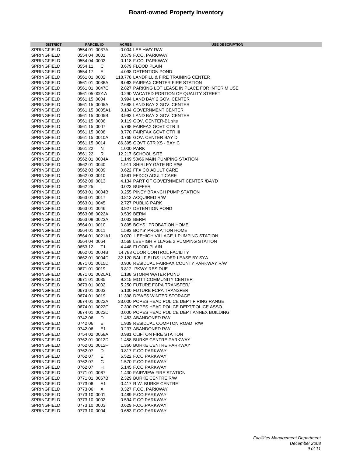| <b>DISTRICT</b>                   | <b>PARCEL ID</b>              | <b>ACRES</b><br><b>USE DESCRIPTION</b>                     |
|-----------------------------------|-------------------------------|------------------------------------------------------------|
| SPRINGFIELD                       | 0554 01 0037A                 | 0.004 LEE HWY R/W                                          |
| SPRINGFIELD                       | 0554 04 0001                  | 0.579 F.CO. PARKWAY                                        |
| SPRINGFIELD                       | 0554 04 0002                  | 0.118 F.CO. PARKWAY                                        |
| SPRINGFIELD                       | C<br>0554 11                  | 3.679 FLOOD PLAIN                                          |
| SPRINGFIELD                       | E.<br>0554 17                 | 4.098 DETENTION POND                                       |
| SPRINGFIELD                       | 0561 01 0002                  | 118.778 LANDFILL & FIRE TRAINING CENTER                    |
| <b>SPRINGFIELD</b>                | 0561 01 0036A                 | 6.063 FAIRFAX CENTER FIRE STATION                          |
| SPRINGFIELD                       | 0561 01 0047C                 | 2.827 PARKING LOT LEASE IN PLACE FOR INTERIM USE           |
| SPRINGFIELD                       | 0561 05 0001A                 | 0.290 VACATED PORTION OF QUALITY STREET                    |
| SPRINGFIELD                       | 0561 15 0004                  | 0.994 LAND BAY 2 GOV. CENTER                               |
| SPRINGFIELD                       | 0561 15 0005A                 | 2.688 LAND BAY 2 GOV. CENTER                               |
| SPRINGFIELD                       | 0561 15 0005A1                | 0.104 GOVERNMENT CENTER                                    |
| SPRINGFIELD                       | 0561 15 0005B                 | 3.993 LAND BAY 2 GOV. CENTER                               |
| SPRINGFIELD                       | 0561 15 0006                  | 9.119 GOV. CENTER-B1 site                                  |
| SPRINGFIELD                       | 0561 15 0007                  | 5.788 FAIRFAX GOVT CTR II                                  |
| SPRINGFIELD<br>SPRINGFIELD        | 0561 15 0008<br>0561 15 0010A | 8.770 FAIRFAX GOVT CTR III<br>0.765 GOV. CENTER BAY D      |
| SPRINGFIELD                       | 0561 15 0014                  | 86.395 GOVT CTR XS - BAY C                                 |
| SPRINGFIELD                       | 056122<br>N                   | 1.000 PARK                                                 |
| SPRINGFIELD                       | 056122<br>R                   | 12.217 SCHOOL SITE                                         |
| <b>SPRINGFIELD</b>                | 0562 01 0004A                 | 1.149 50/66 MAIN PUMPING STATION                           |
| <b>SPRINGFIELD</b>                | 0562 01 0040                  | 1.911 SHIRLEY GATE RD R/W                                  |
| SPRINGFIELD                       | 0562 03 0009                  | 0.622 FFX CO ADULT CARE                                    |
| <b>SPRINGFIELD</b>                | 0562 03 0010                  | 0.581 FFXCO ADULT CARE                                     |
| SPRINGFIELD                       | 0562 09 0013                  | 4.134 PART OF GOVERNMENT CENTER /BAYD                      |
| SPRINGFIELD                       | 0562 25<br>$\overline{1}$     | 0.023 BUFFER                                               |
| SPRINGFIELD                       | 0563 01 0004B                 | 0.255 PINEY BRANCH PUMP STATION                            |
| SPRINGFIELD                       | 0563 01 0017                  | 0.813 ACQUIRED R/W                                         |
| SPRINGFIELD                       | 0563 01 0045                  | 2.727 PUBLIC PARK                                          |
| SPRINGFIELD                       | 0563 01 0046                  | 3.927 DETENTION POND                                       |
| SPRINGFIELD                       | 0563 08 0022A                 | 0.539 BERM                                                 |
| SPRINGFIELD                       | 0563 08 0023A                 | 0.033 BERM                                                 |
| SPRINGFIELD                       | 0564 01 0010                  | 0.895 BOYS ' PROBATION HOME                                |
| SPRINGFIELD                       | 0564 01 0011                  | 1.593 BOYS' PROBATION HOME                                 |
| SPRINGFIELD                       | 0564 01 0021A1                | 0.070 LEEHIGH VILLAGE 1 PUMPING STATION                    |
| SPRINGFIELD                       | 0564 04 0064                  | 0.568 LEEHIGH VILLAGE 2 PUMPING STATION                    |
| SPRINGFIELD                       | 0653 12<br>T1                 | 4.448 FLOOD PLAIN                                          |
| SPRINGFIELD                       | 0662 01 0004B                 | 14.783 ODOR CONTROL FACILITY                               |
| SPRINGFIELD                       | 0662 01 0004D                 | 32.120 BALLFIELDS UNDER LEASE BY SYA                       |
| SPRINGFIELD                       | 0671 01 0015D                 | 0.906 RESIDUAL FAIRFAX COUNTY PARKWAY R/W                  |
| SPRINGFIELD                       | 0671 01 0019                  | 3.812 PKWY RESIDUE                                         |
| SPRINGFIELD                       | 0671 01 0020A1                | 1.188 STORM WATER POND                                     |
| SPRINGFIELD<br><b>SPRINGFIELD</b> | 0671 01 0035<br>0673 01 0002  | 9.215 MOTT COMMUNITY CENTER<br>5.250 FUTURE FCPA TRANSFER/ |
| SPRINGFIELD                       | 0673 01 0003                  | 5.100 FUTURE FCPA TRANSFER                                 |
| SPRINGFIELD                       | 0674 01 0019                  | 11.398 DPWES WINTER STORAGE                                |
| SPRINGFIELD                       | 0674 01 0022A                 | 33.000 POPES HEAD POLICE DEPT FIRING RANGE                 |
| SPRINGFIELD                       | 0674 01 0022C                 | 7.300 POPES HEAD POLICE DEPT/POLICE ASSO.                  |
| SPRINGFIELD                       | 0674 01 0022D                 | 0.000 POPES HEAD POLICE DEPT ANNEX BUILDING                |
| SPRINGFIELD                       | 074206<br>D                   | 1.483 ABANDONED R/W                                        |
| SPRINGFIELD                       | E.<br>074206                  | 1.939 RESIDUAL COMPTON ROAD R/W                            |
| SPRINGFIELD                       | 0742 06<br>E1                 | 0.237 ABANDONED R/W                                        |
| SPRINGFIELD                       | 0754 02 0068A                 | 0.981 CLIFTON FIRE STATION                                 |
| SPRINGFIELD                       | 0762 01 0012D                 | 1.458 BURKE CENTRE PARKWAY                                 |
| <b>SPRINGFIELD</b>                | 0762 01 0012F                 | 1.360 BURKE CENTRE PARKWAY                                 |
| SPRINGFIELD                       | 076207<br>D                   | 0.817 F.CO PARKWAY                                         |
| SPRINGFIELD                       | Е<br>076207                   | 6.522 F.CO PARKWAY                                         |
| <b>SPRINGFIELD</b>                | 076207<br>G                   | 1.570 F.CO PARKWAY                                         |
| SPRINGFIELD                       | 076207<br>H                   | 5.145 F.CO PARKWAY                                         |
| SPRINGFIELD                       | 0771 01 0067                  | 1.430 FAIRVIEW FIRE STATION                                |
| SPRINGFIELD                       | 0771 01 0067B                 | 2.329 BURKE CENTRE R/W                                     |
| SPRINGFIELD                       | 077306<br>A1                  | 0.417 R.W. BURKE CENTRE                                    |
| SPRINGFIELD                       | 077306<br>Χ                   | 0.327 F.CO. PARKWAY                                        |
| SPRINGFIELD                       | 0773 10 0001                  | 0.489 F.CO.PARKWAY                                         |
| SPRINGFIELD                       | 0773 10 0002                  | 0.594 F.CO.PARKWAY                                         |
| SPRINGFIELD                       | 0773 10 0003                  | 0.629 F.CO.PARKWAY                                         |
| SPRINGFIELD                       | 0773 10 0004                  | 0.653 F.CO.PARKWAY                                         |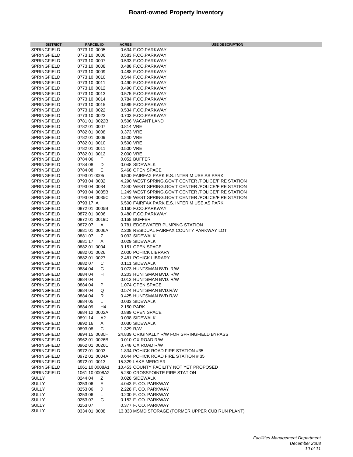| <b>DISTRICT</b>                          | <b>PARCEL ID</b>             | <b>ACRES</b><br><b>USE DESCRIPTION</b>              |
|------------------------------------------|------------------------------|-----------------------------------------------------|
| <b>SPRINGFIELD</b>                       | 0773 10 0005                 | 0.634 F.CO.PARKWAY                                  |
| <b>SPRINGFIELD</b>                       | 0773 10 0006                 | 0.583 F.CO.PARKWAY                                  |
| <b>SPRINGFIELD</b>                       | 0773 10 0007                 | 0.533 F.CO.PARKWAY                                  |
| <b>SPRINGFIELD</b>                       | 0773 10 0008                 | 0.488 F.CO.PARKWAY                                  |
| <b>SPRINGFIELD</b>                       | 0773 10 0009                 | 0.488 F.CO.PARKWAY                                  |
| <b>SPRINGFIELD</b>                       | 0773 10 0010                 | 0.544 F.CO.PARKWAY                                  |
| <b>SPRINGFIELD</b>                       | 0773 10 0011                 | 0.490 F.CO.PARKWAY                                  |
| <b>SPRINGFIELD</b>                       | 0773 10 0012                 | 0.490 F.CO.PARKWAY                                  |
| <b>SPRINGFIELD</b>                       | 0773 10 0013                 | 0.575 F.CO.PARKWAY                                  |
| <b>SPRINGFIELD</b>                       | 0773 10 0014                 | 0.784 F.CO.PARKWAY                                  |
| <b>SPRINGFIELD</b>                       | 0773 10 0015                 | 0.589 F.CO.PARKWAY                                  |
| <b>SPRINGFIELD</b>                       | 0773 10 0022                 | 0.534 F.CO.PARKWAY                                  |
| <b>SPRINGFIELD</b>                       | 0773 10 0023                 | 0.703 F.CO.PARKWAY                                  |
| <b>SPRINGFIELD</b>                       | 0781 01 0022B                | 0.506 VACANT LAND                                   |
| <b>SPRINGFIELD</b>                       | 0782 01 0007                 | 0.814 VRE                                           |
| <b>SPRINGFIELD</b><br><b>SPRINGFIELD</b> | 0782 01 0008<br>0782 01 0009 | 0.373 VRE                                           |
| <b>SPRINGFIELD</b>                       | 0782 01 0010                 | 0.500 VRE<br>0.500 VRE                              |
| <b>SPRINGFIELD</b>                       | 0782 01 0011                 | 0.500 VRE                                           |
| <b>SPRINGFIELD</b>                       | 0782 01 0012                 | 2.000 VRE                                           |
| <b>SPRINGFIELD</b>                       | 0784 06<br>F                 | 0.052 BUFFER                                        |
| <b>SPRINGFIELD</b>                       | 0784 08<br>D                 | 0.048 SIDEWALK                                      |
| <b>SPRINGFIELD</b>                       | 0784 08<br>Е                 | 5.468 OPEN SPACE                                    |
| <b>SPRINGFIELD</b>                       | 0793 01 0005                 | 6.500 FAIRFAX PARK E.S. INTERIM USE AS PARK         |
| <b>SPRINGFIELD</b>                       | 0793 04 0032                 | 4.290 WEST SPRING.GOV'T CENTER /POLICE/FIRE STATION |
| <b>SPRINGFIELD</b>                       | 0793 04 0034                 | 2.840 WEST SPRING.GOV'T CENTER /POLICE/FIRE STATION |
| <b>SPRINGFIELD</b>                       | 0793 04 0035B                | 1.249 WEST SPRING.GOV'T CENTER /POLICE/FIRE STATION |
| <b>SPRINGFIELD</b>                       | 0793 04 0035C                | 1.249 WEST SPRING.GOV'T CENTER /POLICE/FIRE STATION |
| <b>SPRINGFIELD</b>                       | 0793 17 A                    | 6.500 FAIRFAX PARK E.S. INTERIM USE AS PARK         |
| <b>SPRINGFIELD</b>                       | 0872 01 0005B                | 0.160 F.CO.PARKWAY                                  |
| <b>SPRINGFIELD</b>                       | 0872 01 0006                 | 0.480 F.CO.PARKWAY                                  |
| <b>SPRINGFIELD</b>                       | 0872 01 0019D                | 0.168 BUFFER                                        |
| <b>SPRINGFIELD</b>                       | 0872 07<br>Α                 | 0.781 EDGEWATER PUMPING STATION                     |
| <b>SPRINGFIELD</b>                       | 0881 01 0006A                | 2.208 RESIDUAL FAIRFAX COUNTY PARKWAY LOT           |
| <b>SPRINGFIELD</b>                       | 088107<br>Ζ                  | 0.032 SIDEWALK                                      |
| <b>SPRINGFIELD</b>                       | 0881 17<br>Α                 | 0.029 SIDEWALK                                      |
| <b>SPRINGFIELD</b>                       | 0882 01 0004                 | 3.151 OPEN SPACE                                    |
| <b>SPRINGFIELD</b>                       | 0882 01 0026                 | 2.000 POHICK LIBRARY                                |
| <b>SPRINGFIELD</b>                       | 0882 01 0027                 | 2.481 POHICK LIBRARY                                |
| <b>SPRINGFIELD</b>                       | 088207<br>С                  | 0.111 SIDEWALK                                      |
| <b>SPRINGFIELD</b>                       | 0884 04<br>G                 | 0.073 HUNTSMAN BVD, R/W                             |
| <b>SPRINGFIELD</b>                       | н<br>0884 04                 | 0.203 HUNTSMAN BVD, R/W                             |
| <b>SPRINGFIELD</b>                       | 0884 04<br>I.                | 0.012 HUNTSMAN BVD, R/W                             |
| <b>SPRINGFIELD</b>                       | 0884 04<br>P                 | 1.074 OPEN SPACE                                    |
| <b>SPRINGFIELD</b>                       | 0884 04<br>Q                 | 0.574 HUNTSMAN BVD.R/W                              |
| <b>SPRINGFIELD</b>                       | R<br>0884 04                 | 0.425 HUNTSMAN BVD.R/W                              |
| SPRINGFIELD<br>SPRINGFIELD               | 0884 05<br>0884 09           | 0.033 SIDEWALK                                      |
| SPRINGFIELD                              | H4<br>0884 12 0002A          | 2.150 PARK<br>0.889 OPEN SPACE                      |
| <b>SPRINGFIELD</b>                       | 0891 14<br>A2                | 0.038 SIDEWALK                                      |
| <b>SPRINGFIELD</b>                       | 0892 16<br>A                 | 0.030 SIDEWALK                                      |
| <b>SPRINGFIELD</b>                       | C<br>089308                  | 1.329 R/W                                           |
| <b>SPRINGFIELD</b>                       | 0894 15 0030H                | 24.839 ORIGINALLY R/W FOR SPRINGFIELD BYPASS        |
| SPRINGFIELD                              | 0962 01 0026B                | 0.010 OX ROAD R/W                                   |
| SPRINGFIELD                              | 0962 01 0026C                | 0.748 OX ROAD R/W                                   |
| SPRINGFIELD                              | 0972 01 0003                 | 1.834 POHICK ROAD FIRE STATION #35                  |
| <b>SPRINGFIELD</b>                       | 0972 01 0004A                | 0.644 POHICK ROAD FIRE STATION #35                  |
| <b>SPRINGFIELD</b>                       | 0972010013                   | 15.329 LAKE MERCIER                                 |
| <b>SPRINGFIELD</b>                       | 1061 10 0008A1               | 10.453 COUNTY FACILITY NOT YET PROPOSED             |
| <b>SPRINGFIELD</b>                       | 1061 10 0008A2               | 5.280 CROSSPOINTE FIRE STATION                      |
| <b>SULLY</b>                             | 0244 04<br>Ζ                 | 0.028 SIDEWALK                                      |
| SULLY                                    | 0253 06<br>Ε.                | 4.043 F. CO. PARKWAY                                |
| <b>SULLY</b>                             | 0253 06<br>J                 | 2.228 F. CO. PARKWAY                                |
| SULLY                                    | 0253 06<br>L                 | 0.200 F. CO. PARKWAY                                |
| SULLY                                    | 0253 07<br>G                 | 0.152 F. CO. PARKWAY                                |
| SULLY                                    | 025307<br>I.                 | 0.377 F. CO. PARKWAY                                |
| <b>SULLY</b>                             | 0334 01 0008                 | 13.838 MSMD STORAGE (FORMER UPPER CUB RUN PLANT)    |